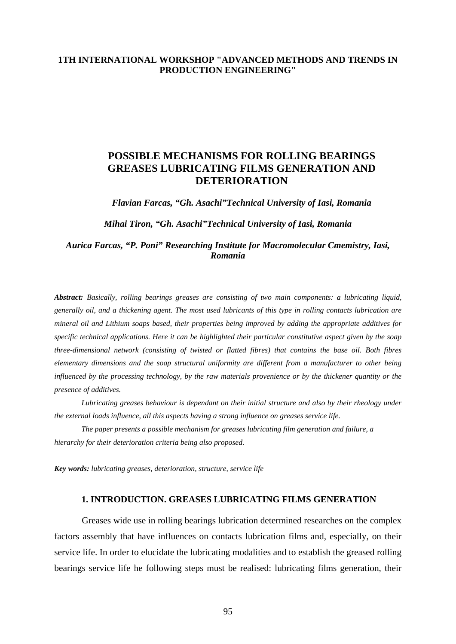### **1TH INTERNATIONAL WORKSHOP "ADVANCED METHODS AND TRENDS IN PRODUCTION ENGINEERING"**

# **POSSIBLE MECHANISMS FOR ROLLING BEARINGS GREASES LUBRICATING FILMS GENERATION AND DETERIORATION**

*Flavian Farcas, "Gh. Asachi"Technical University of Iasi, Romania* 

*Mihai Tiron, "Gh. Asachi"Technical University of Iasi, Romania* 

*Aurica Farcas, "P. Poni" Researching Institute for Macromolecular Cmemistry, Iasi, Romania* 

*Abstract: Basically, rolling bearings greases are consisting of two main components: a lubricating liquid, generally oil, and a thickening agent. The most used lubricants of this type in rolling contacts lubrication are mineral oil and Lithium soaps based, their properties being improved by adding the appropriate additives for specific technical applications. Here it can be highlighted their particular constitutive aspect given by the soap three-dimensional network (consisting of twisted or flatted fibres) that contains the base oil. Both fibres elementary dimensions and the soap structural uniformity are different from a manufacturer to other being influenced by the processing technology, by the raw materials provenience or by the thickener quantity or the presence of additives.* 

 *Lubricating greases behaviour is dependant on their initial structure and also by their rheology under the external loads influence, all this aspects having a strong influence on greases service life.* 

 *The paper presents a possible mechanism for greases lubricating film generation and failure, a hierarchy for their deterioration criteria being also proposed.* 

*Key words: lubricating greases*, *deterioration, structure, service life*

#### **1. INTRODUCTION. GREASES LUBRICATING FILMS GENERATION**

Greases wide use in rolling bearings lubrication determined researches on the complex factors assembly that have influences on contacts lubrication films and, especially, on their service life. In order to elucidate the lubricating modalities and to establish the greased rolling bearings service life he following steps must be realised: lubricating films generation, their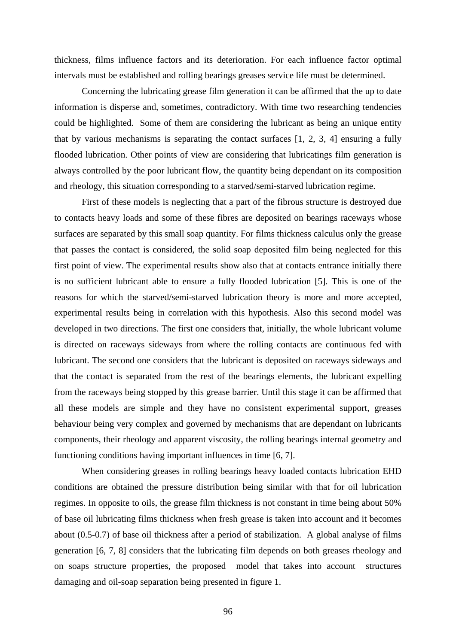thickness, films influence factors and its deterioration. For each influence factor optimal intervals must be established and rolling bearings greases service life must be determined.

Concerning the lubricating grease film generation it can be affirmed that the up to date information is disperse and, sometimes, contradictory. With time two researching tendencies could be highlighted. Some of them are considering the lubricant as being an unique entity that by various mechanisms is separating the contact surfaces [1, 2, 3, 4] ensuring a fully flooded lubrication. Other points of view are considering that lubricatings film generation is always controlled by the poor lubricant flow, the quantity being dependant on its composition and rheology, this situation corresponding to a starved/semi-starved lubrication regime.

First of these models is neglecting that a part of the fibrous structure is destroyed due to contacts heavy loads and some of these fibres are deposited on bearings raceways whose surfaces are separated by this small soap quantity. For films thickness calculus only the grease that passes the contact is considered, the solid soap deposited film being neglected for this first point of view. The experimental results show also that at contacts entrance initially there is no sufficient lubricant able to ensure a fully flooded lubrication [5]. This is one of the reasons for which the starved/semi-starved lubrication theory is more and more accepted, experimental results being in correlation with this hypothesis. Also this second model was developed in two directions. The first one considers that, initially, the whole lubricant volume is directed on raceways sideways from where the rolling contacts are continuous fed with lubricant. The second one considers that the lubricant is deposited on raceways sideways and that the contact is separated from the rest of the bearings elements, the lubricant expelling from the raceways being stopped by this grease barrier. Until this stage it can be affirmed that all these models are simple and they have no consistent experimental support, greases behaviour being very complex and governed by mechanisms that are dependant on lubricants components, their rheology and apparent viscosity, the rolling bearings internal geometry and functioning conditions having important influences in time [6, 7].

When considering greases in rolling bearings heavy loaded contacts lubrication EHD conditions are obtained the pressure distribution being similar with that for oil lubrication regimes. In opposite to oils, the grease film thickness is not constant in time being about 50% of base oil lubricating films thickness when fresh grease is taken into account and it becomes about (0.5-0.7) of base oil thickness after a period of stabilization. A global analyse of films generation [6, 7, 8] considers that the lubricating film depends on both greases rheology and on soaps structure properties, the proposed model that takes into account structures damaging and oil-soap separation being presented in figure 1.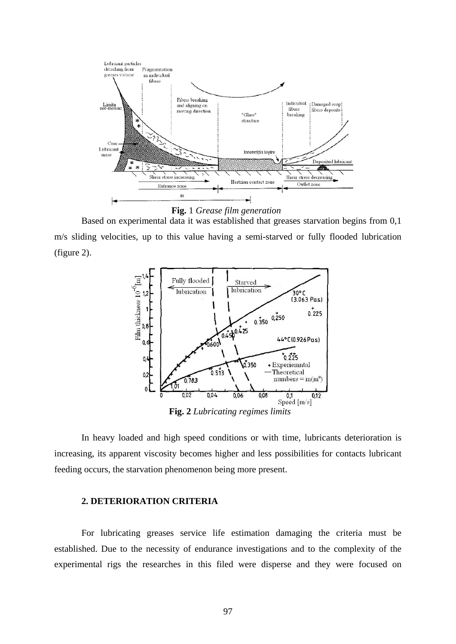

**Fig.** 1 *Grease film generation*

Based on experimental data it was established that greases starvation begins from 0,1 m/s sliding velocities, up to this value having a semi-starved or fully flooded lubrication (figure 2).



**Fig. 2** *Lubricating regimes limits*

In heavy loaded and high speed conditions or with time, lubricants deterioration is increasing, its apparent viscosity becomes higher and less possibilities for contacts lubricant feeding occurs, the starvation phenomenon being more present.

#### **2. DETERIORATION CRITERIA**

 For lubricating greases service life estimation damaging the criteria must be established. Due to the necessity of endurance investigations and to the complexity of the experimental rigs the researches in this filed were disperse and they were focused on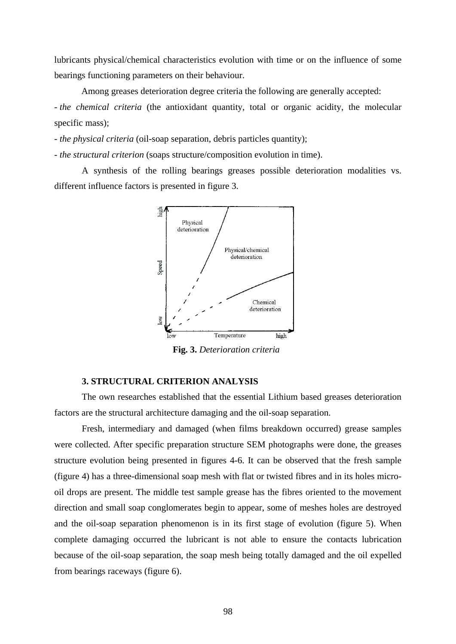lubricants physical/chemical characteristics evolution with time or on the influence of some bearings functioning parameters on their behaviour.

 Among greases deterioration degree criteria the following are generally accepted: - *the chemical criteria* (the antioxidant quantity, total or organic acidity, the molecular specific mass);

- *the physical criteria* (oil-soap separation, debris particles quantity);

- *the structural criterion* (soaps structure/composition evolution in time).

A synthesis of the rolling bearings greases possible deterioration modalities vs. different influence factors is presented in figure 3.



**Fig. 3.** *Deterioration criteria*

#### **3. STRUCTURAL CRITERION ANALYSIS**

The own researches established that the essential Lithium based greases deterioration factors are the structural architecture damaging and the oil-soap separation.

Fresh, intermediary and damaged (when films breakdown occurred) grease samples were collected. After specific preparation structure SEM photographs were done, the greases structure evolution being presented in figures 4-6. It can be observed that the fresh sample (figure 4) has a three-dimensional soap mesh with flat or twisted fibres and in its holes microoil drops are present. The middle test sample grease has the fibres oriented to the movement direction and small soap conglomerates begin to appear, some of meshes holes are destroyed and the oil-soap separation phenomenon is in its first stage of evolution (figure 5). When complete damaging occurred the lubricant is not able to ensure the contacts lubrication because of the oil-soap separation, the soap mesh being totally damaged and the oil expelled from bearings raceways (figure 6).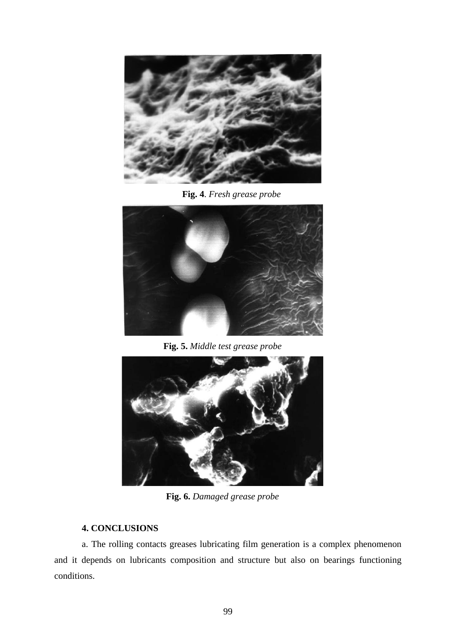

**Fig. 4**. *Fresh grease probe*



**Fig. 5.** *Middle test grease probe*



**Fig. 6.** *Damaged grease probe*

## **4. CONCLUSIONS**

a. The rolling contacts greases lubricating film generation is a complex phenomenon and it depends on lubricants composition and structure but also on bearings functioning conditions.